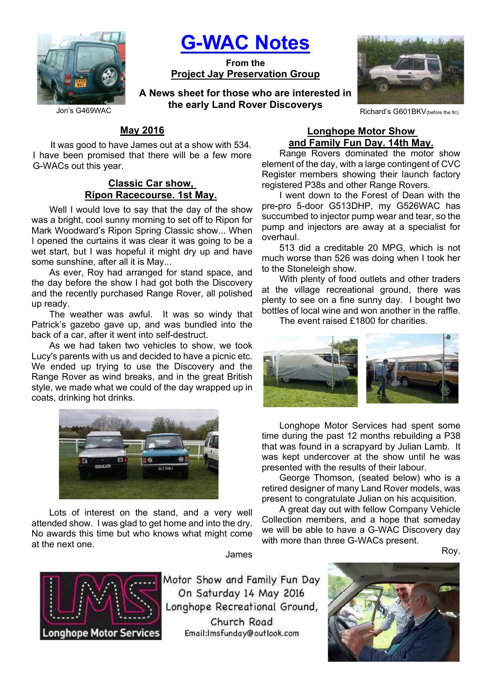

G-WAC Notes

From the Project Jay Preservation Group

Jon's G469WAC **Richard's Callense and Callense Control Control Control Control Control Control Control Control C** A News sheet for those who are interested in the early Land Rover Discoverys



# May 2016

It was good to have James out at a show with 534. I have been promised that there will be a few more G-WACs out this year.

### Classic Car show, Ripon Racecourse. 1st May.

Well I would love to say that the day of the show was a bright, cool sunny morning to set off to Ripon for Mark Woodward's Ripon Spring Classic show... When I opened the curtains it was clear it was going to be a wet start, but I was hopeful it might dry up and have some sunshine, after all it is May...

As ever, Roy had arranged for stand space, and the day before the show I had got both the Discovery and the recently purchased Range Rover, all polished up ready.

The weather was awful. It was so windy that Patrick's gazebo gave up, and was bundled into the back of a car, after it went into self-destruct.

As we had taken two vehicles to show, we took Lucy's parents with us and decided to have a picnic etc. We ended up trying to use the Discovery and the Range Rover as wind breaks, and in the great British style, we made what we could of the day wrapped up in coats, drinking hot drinks.



Lots of interest on the stand, and a very well attended show. I was glad to get home and into the dry. No awards this time but who knows what might come at the next one.

James



Motor Show and Family Fun Day On Saturday 14 May 2016 Longhope Recreational Ground, Church Road Email:Imsfunday@outlook.com

#### Longhope Motor Show and Family Fun Day. 14th May.

Range Rovers dominated the motor show element of the day, with a large contingent of CVC Register members showing their launch factory registered P38s and other Range Rovers.

I went down to the Forest of Dean with the pre-pro 5-door G513DHP, my G526WAC has succumbed to injector pump wear and tear, so the pump and injectors are away at a specialist for overhaul.

513 did a creditable 20 MPG, which is not much worse than 526 was doing when I took her to the Stoneleigh show.

With plenty of food outlets and other traders at the village recreational ground, there was plenty to see on a fine sunny day. I bought two bottles of local wine and won another in the raffle.

The event raised £1800 for charities.



Longhope Motor Services had spent some time during the past 12 months rebuilding a P38 that was found in a scrapyard by Julian Lamb. It was kept undercover at the show until he was presented with the results of their labour.

George Thomson, (seated below) who is a retired designer of many Land Rover models, was present to congratulate Julian on his acquisition.

A great day out with fellow Company Vehicle Collection members, and a hope that someday we will be able to have a G-WAC Discovery day with more than three G-WACs present.

Roy.

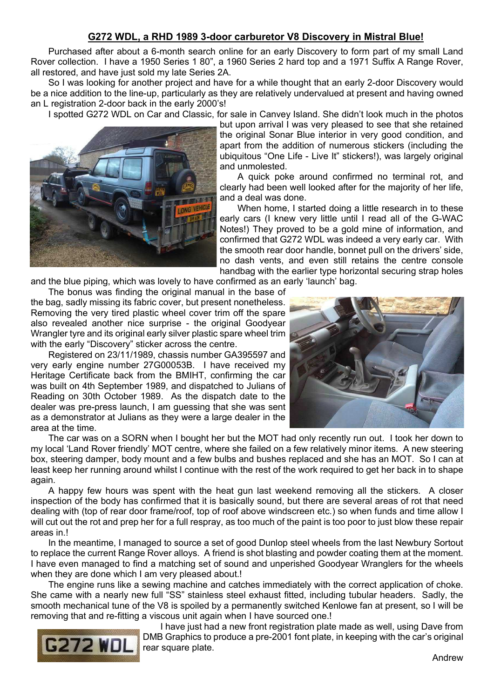## G272 WDL, a RHD 1989 3-door carburetor V8 Discovery in Mistral Blue!

Purchased after about a 6-month search online for an early Discovery to form part of my small Land Rover collection. I have a 1950 Series 1 80", a 1960 Series 2 hard top and a 1971 Suffix A Range Rover, all restored, and have just sold my late Series 2A.

So I was looking for another project and have for a while thought that an early 2-door Discovery would be a nice addition to the line-up, particularly as they are relatively undervalued at present and having owned an L registration 2-door back in the early 2000's!

I spotted G272 WDL on Car and Classic, for sale in Canvey Island. She didn't look much in the photos



but upon arrival I was very pleased to see that she retained the original Sonar Blue interior in very good condition, and apart from the addition of numerous stickers (including the ubiquitous "One Life - Live It" stickers!), was largely original and unmolested.

A quick poke around confirmed no terminal rot, and clearly had been well looked after for the majority of her life, and a deal was done.

When home, I started doing a little research in to these early cars (I knew very little until I read all of the G-WAC Notes!) They proved to be a gold mine of information, and confirmed that G272 WDL was indeed a very early car. With the smooth rear door handle, bonnet pull on the drivers' side, no dash vents, and even still retains the centre console handbag with the earlier type horizontal securing strap holes

and the blue piping, which was lovely to have confirmed as an early 'launch' bag.

The bonus was finding the original manual in the base of the bag, sadly missing its fabric cover, but present nonetheless.

Removing the very tired plastic wheel cover trim off the spare also revealed another nice surprise - the original Goodyear Wrangler tyre and its original early silver plastic spare wheel trim with the early "Discovery" sticker across the centre.

Registered on 23/11/1989, chassis number GA395597 and very early engine number 27G00053B. I have received my Heritage Certificate back from the BMIHT, confirming the car was built on 4th September 1989, and dispatched to Julians of Reading on 30th October 1989. As the dispatch date to the dealer was pre-press launch, I am guessing that she was sent as a demonstrator at Julians as they were a large dealer in the area at the time.



The car was on a SORN when I bought her but the MOT had only recently run out. I took her down to my local 'Land Rover friendly' MOT centre, where she failed on a few relatively minor items. A new steering box, steering damper, body mount and a few bulbs and bushes replaced and she has an MOT. So I can at least keep her running around whilst I continue with the rest of the work required to get her back in to shape again.

A happy few hours was spent with the heat gun last weekend removing all the stickers. A closer inspection of the body has confirmed that it is basically sound, but there are several areas of rot that need dealing with (top of rear door frame/roof, top of roof above windscreen etc.) so when funds and time allow I will cut out the rot and prep her for a full respray, as too much of the paint is too poor to just blow these repair areas in I

In the meantime, I managed to source a set of good Dunlop steel wheels from the last Newbury Sortout to replace the current Range Rover alloys. A friend is shot blasting and powder coating them at the moment. I have even managed to find a matching set of sound and unperished Goodyear Wranglers for the wheels when they are done which I am very pleased about.!

The engine runs like a sewing machine and catches immediately with the correct application of choke. She came with a nearly new full "SS" stainless steel exhaust fitted, including tubular headers. Sadly, the smooth mechanical tune of the V8 is spoiled by a permanently switched Kenlowe fan at present, so I will be removing that and re-fitting a viscous unit again when I have sourced one.!



I have just had a new front registration plate made as well, using Dave from DMB Graphics to produce a pre-2001 font plate, in keeping with the car's original rear square plate.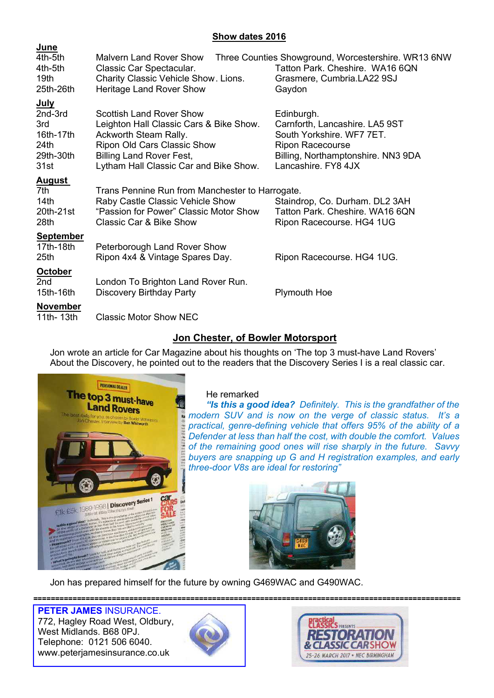# Show dates 2016

| <b>June</b>                   |                                                                            |                                                                   |
|-------------------------------|----------------------------------------------------------------------------|-------------------------------------------------------------------|
| 4th-5th                       | <b>Malvern Land Rover Show</b>                                             | Three Counties Showground, Worcestershire. WR13 6NW               |
| 4th-5th                       | Classic Car Spectacular.                                                   | Tatton Park, Cheshire, WA16 6QN                                   |
| 19th                          | Charity Classic Vehicle Show. Lions.                                       | Grasmere, Cumbria.LA22 9SJ                                        |
| 25th-26th                     | <b>Heritage Land Rover Show</b>                                            | Gaydon                                                            |
| <u>July</u>                   |                                                                            |                                                                   |
| 2nd-3rd                       | Scottish Land Rover Show                                                   | Edinburgh.                                                        |
| 3rd                           | Leighton Hall Classic Cars & Bike Show.                                    | Carnforth, Lancashire. LA5 9ST                                    |
| 16th-17th                     | Ackworth Steam Rally.                                                      | South Yorkshire. WF7 7ET.                                         |
| 24th                          | Ripon Old Cars Classic Show                                                | <b>Ripon Racecourse</b>                                           |
| 29th-30th<br>31st             | <b>Billing Land Rover Fest,</b><br>Lytham Hall Classic Car and Bike Show.  | Billing, Northamptonshire. NN3 9DA<br>Lancashire. FY8 4JX         |
|                               |                                                                            |                                                                   |
| <b>August</b>                 |                                                                            |                                                                   |
| 7th                           | Trans Pennine Run from Manchester to Harrogate.                            |                                                                   |
| 14 <sub>th</sub><br>20th-21st | Raby Castle Classic Vehicle Show<br>"Passion for Power" Classic Motor Show | Staindrop, Co. Durham. DL2 3AH<br>Tatton Park. Cheshire. WA16 6QN |
| 28th                          | <b>Classic Car &amp; Bike Show</b>                                         | Ripon Racecourse. HG4 1UG                                         |
|                               |                                                                            |                                                                   |
| <b>September</b>              |                                                                            |                                                                   |
| 17th-18th<br>25th             | Peterborough Land Rover Show<br>Ripon 4x4 & Vintage Spares Day.            | Ripon Racecourse. HG4 1UG.                                        |
|                               |                                                                            |                                                                   |
| <b>October</b>                |                                                                            |                                                                   |
| 2 <sub>nd</sub>               | London To Brighton Land Rover Run.                                         |                                                                   |
| 15th-16th                     | Discovery Birthday Party                                                   | Plymouth Hoe                                                      |
| <b>November</b>               |                                                                            |                                                                   |
| 11th- 13th                    | <b>Classic Motor Show NEC</b>                                              |                                                                   |

# Jon Chester, of Bowler Motorsport

Jon wrote an article for Car Magazine about his thoughts on 'The top 3 must-have Land Rovers' About the Discovery, he pointed out to the readers that the Discovery Series I is a real classic car.



## He remarked

"Is this a good idea? Definitely. This is the grandfather of the **modern SUV** and is now on the verge of classic status. It's a practical, genre-defining vehicle that offers 95% of the ability of a Defender at less than half the cost, with double the comfort. Values of the remaining good ones will rise sharply in the future. Savvy buyers are snapping up G and H registration examples, and early three-door V8s are ideal for restoring"



Jon has prepared himself for the future by owning G469WAC and G490WAC.

================================================================================================== PETER JAMES INSURANCE.

772, Hagley Road West, Oldbury, West Midlands. B68 0PJ. Telephone: 0121 506 6040. www.peterjamesinsurance.co.uk



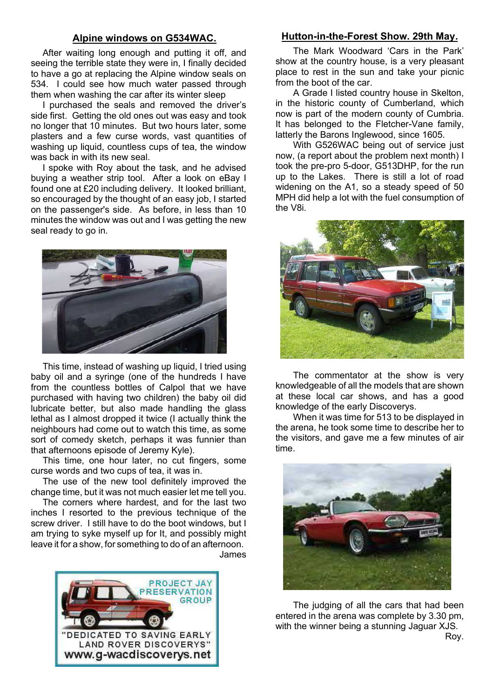### Alpine windows on G534WAC.

After waiting long enough and putting it off, and seeing the terrible state they were in, I finally decided to have a go at replacing the Alpine window seals on 534. I could see how much water passed through them when washing the car after its winter sleep

I purchased the seals and removed the driver's side first. Getting the old ones out was easy and took no longer that 10 minutes. But two hours later, some plasters and a few curse words, vast quantities of washing up liquid, countless cups of tea, the window was back in with its new seal.

I spoke with Roy about the task, and he advised buying a weather strip tool. After a look on eBay I found one at £20 including delivery. It looked brilliant, so encouraged by the thought of an easy job, I started on the passenger's side. As before, in less than 10 minutes the window was out and I was getting the new seal ready to go in.



This time, instead of washing up liquid, I tried using baby oil and a syringe (one of the hundreds I have from the countless bottles of Calpol that we have purchased with having two children) the baby oil did lubricate better, but also made handling the glass lethal as I almost dropped it twice (I actually think the neighbours had come out to watch this time, as some sort of comedy sketch, perhaps it was funnier than that afternoons episode of Jeremy Kyle).

This time, one hour later, no cut fingers, some curse words and two cups of tea, it was in.

The use of the new tool definitely improved the change time, but it was not much easier let me tell you.

The corners where hardest, and for the last two inches I resorted to the previous technique of the screw driver. I still have to do the boot windows, but I am trying to syke myself up for It, and possibly might leave it for a show, for something to do of an afternoon. James



### Hutton-in-the-Forest Show. 29th May.

The Mark Woodward 'Cars in the Park' show at the country house, is a very pleasant place to rest in the sun and take your picnic from the boot of the car.

A Grade I listed country house in Skelton, in the historic county of Cumberland, which now is part of the modern county of Cumbria. It has belonged to the Fletcher-Vane family, latterly the Barons Inglewood, since 1605.

With G526WAC being out of service just now, (a report about the problem next month) I took the pre-pro 5-door, G513DHP, for the run up to the Lakes. There is still a lot of road widening on the A1, so a steady speed of 50 MPH did help a lot with the fuel consumption of the V8i.



The commentator at the show is very knowledgeable of all the models that are shown at these local car shows, and has a good knowledge of the early Discoverys.

When it was time for 513 to be displayed in the arena, he took some time to describe her to the visitors, and gave me a few minutes of air time.



The judging of all the cars that had been entered in the arena was complete by 3.30 pm, with the winner being a stunning Jaguar XJS. Roy.